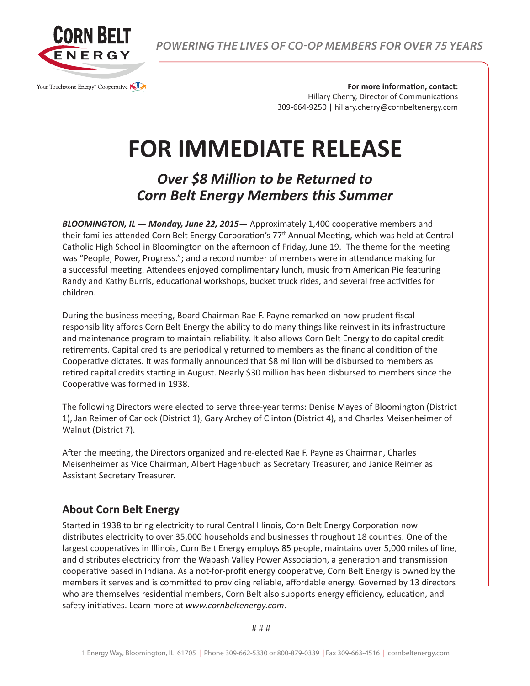

*POWERING THE LIVES OF CO-OP MEMBERS FOR OVER 75 YEARS*

**For more information, contact:** Hillary Cherry, Director of Communications 309-664-9250 | hillary.cherry@cornbeltenergy.com

## **FOR IMMEDIATE RELEASE**

## *Over \$8 Million to be Returned to Corn Belt Energy Members this Summer*

*BLOOMINGTON, IL — Monday, June 22, 2015—* Approximately 1,400 cooperative members and their families attended Corn Belt Energy Corporation's 77th Annual Meeting, which was held at Central Catholic High School in Bloomington on the afternoon of Friday, June 19. The theme for the meeting was "People, Power, Progress."; and a record number of members were in attendance making for a successful meeting. Attendees enjoyed complimentary lunch, music from American Pie featuring Randy and Kathy Burris, educational workshops, bucket truck rides, and several free activities for children.

During the business meeting, Board Chairman Rae F. Payne remarked on how prudent fiscal responsibility affords Corn Belt Energy the ability to do many things like reinvest in its infrastructure and maintenance program to maintain reliability. It also allows Corn Belt Energy to do capital credit retirements. Capital credits are periodically returned to members as the financial condition of the Cooperative dictates. It was formally announced that \$8 million will be disbursed to members as retired capital credits starting in August. Nearly \$30 million has been disbursed to members since the Cooperative was formed in 1938.

The following Directors were elected to serve three-year terms: Denise Mayes of Bloomington (District 1), Jan Reimer of Carlock (District 1), Gary Archey of Clinton (District 4), and Charles Meisenheimer of Walnut (District 7).

After the meeting, the Directors organized and re-elected Rae F. Payne as Chairman, Charles Meisenheimer as Vice Chairman, Albert Hagenbuch as Secretary Treasurer, and Janice Reimer as Assistant Secretary Treasurer.

## **About Corn Belt Energy**

Started in 1938 to bring electricity to rural Central Illinois, Corn Belt Energy Corporation now distributes electricity to over 35,000 households and businesses throughout 18 counties. One of the largest cooperatives in Illinois, Corn Belt Energy employs 85 people, maintains over 5,000 miles of line, and distributes electricity from the Wabash Valley Power Association, a generation and transmission cooperative based in Indiana. As a not-for-profit energy cooperative, Corn Belt Energy is owned by the members it serves and is committed to providing reliable, affordable energy. Governed by 13 directors who are themselves residential members, Corn Belt also supports energy efficiency, education, and safety initiatives. Learn more at *www.cornbeltenergy.com*.